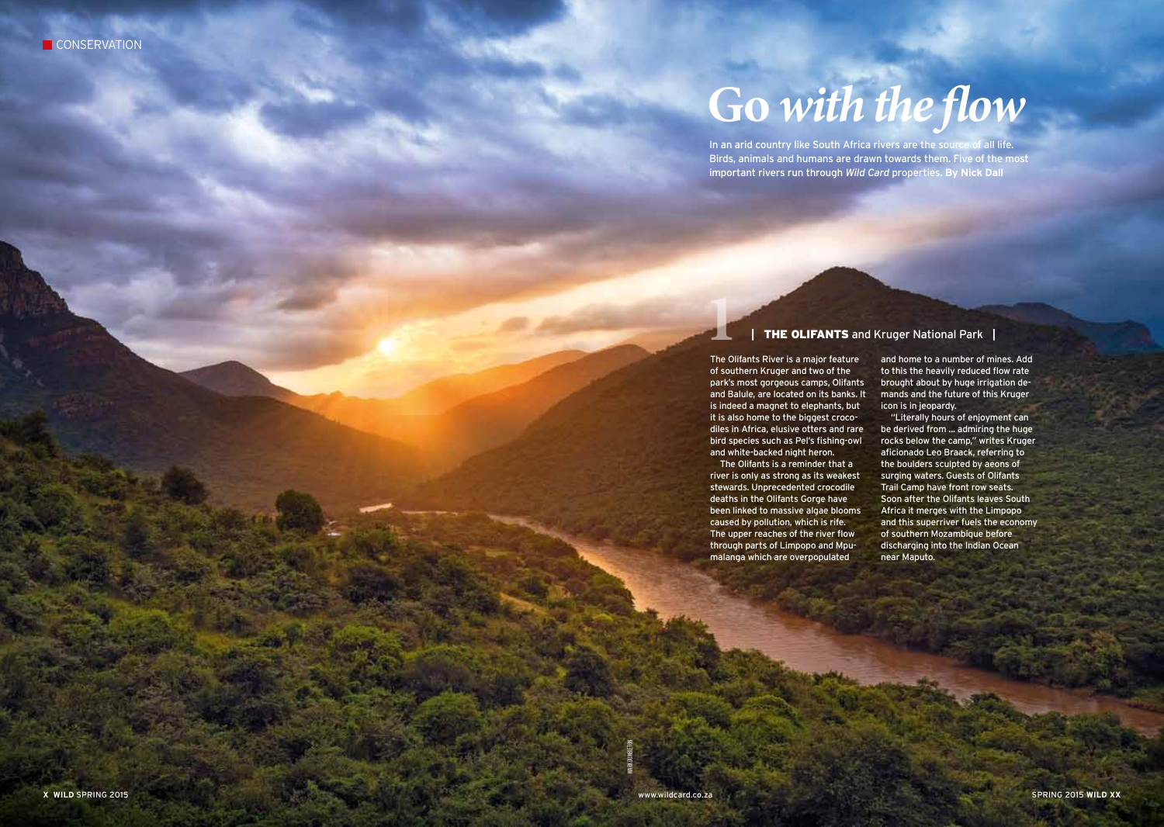## **Go** *with the flow*

In an arid country like South Africa rivers are the source of all life. Birds, animals and humans are drawn towards them. Five of the most important rivers run through *Wild Card* properties. **By Nick Dall**

## **|** The Olifants and Kruger National Park **|**

The Olifants River is a major feature of southern Kruger and two of the park's most gorgeous camps, Olifants and Balule, are located on its banks. It is indeed a magnet to elephants, but it is also home to the biggest crocodiles in Africa, elusive otters and rare bird species such as Pel's fishing-owl and white-backed night heron. **1**

The Olifants is a reminder that a river is only as strong as its weakest stewards. Unprecedented crocodile deaths in the Olifants Gorge have been linked to massive algae blooms caused by pollution, which is rife. The upper reaches of the river flow through parts of Limpopo and Mpumalanga which are overpopulated

and home to a number of mines. Add to this the heavily reduced flow rate brought about by huge irrigation demands and the future of this Kruger icon is in jeopardy.

"Literally hours of enjoyment can be derived from ... admiring the huge rocks below the camp," writes Kruger aficionado Leo Braack, referring to the boulders sculpted by aeons of surging waters. Guests of Olifants Trail Camp have front row seats. Soon after the Olifants leaves South Africa it merges with the Limpopo and this superriver fuels the economy of southern Mozambique before discharging into the Indian Ocean near Maputo.

MARK DUMBLETON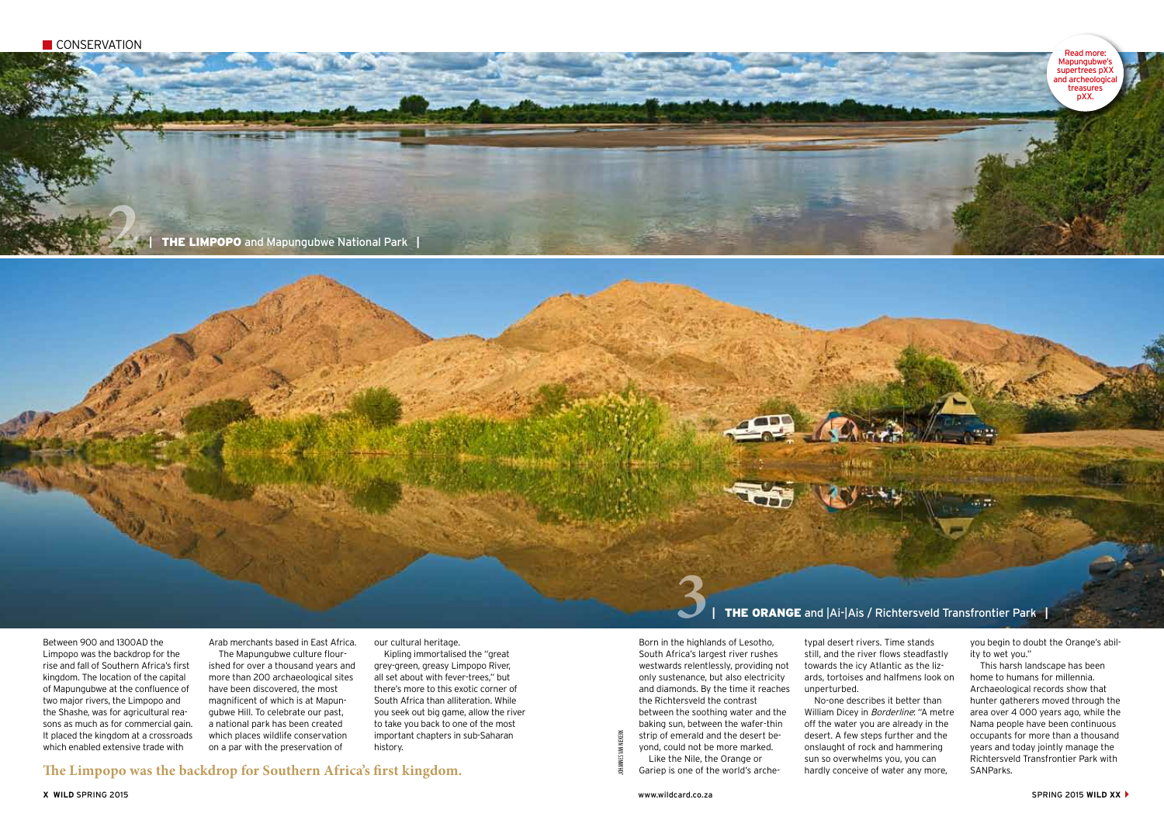Genimus, nescien ditatur Itam quittur itiunt. Ita ut molo iunt. Itam  $\mathbf{q}$  ,  $\mathbf{q}$ 

**2**

**|** The Limpopo and Mapungubwe National Park **|** 

**3**

Between 900 and 1300AD the Limpopo was the backdrop for the rise and fall of Southern Africa's first kingdom. The location of the capital of Mapungubwe at the confluence of two major rivers, the Limpopo and the Shashe, was for agricultural reasons as much as for commercial gain. It placed the kingdom at a crossroads which enabled extensive trade with

Arab merchants based in East Africa. The Mapungubwe culture flourished for over a thousand years and more than 200 archaeological sites have been discovered, the most magnificent of which is at Mapungubwe Hill. To celebrate our past, a national park has been created which places wildlife conservation on a par with the preservation of

our cultural heritage.

Kipling immortalised the "great grey-green, greasy Limpopo River, all set about with fever-trees," but there's more to this exotic corner of South Africa than alliteration. While you seek out big game, allow the river to take you back to one of the most important chapters in sub-Saharan history.

The Limpopo was the backdrop for Southern Africa's first kingdom.<br>
Saniep is one of the world's archehardly conceive of water any more, SANParks.

JOHANNES VAN NIEKERK

**|** The Orange and |Ai-|Ais / Richtersveld Transfrontier Park **|** 

Born in the highlands of Lesotho, South Africa's largest river rushes westwards relentlessly, providing not only sustenance, but also electricity and diamonds. By the time it reaches the Richtersveld the contrast between the soothing water and the baking sun, between the wafer-thin strip of emerald and the desert beyond, could not be more marked. Like the Nile, the Orange or

Gariep is one of the world's arche-

typal desert rivers. Time stands still, and the river flows steadfastly towards the icy Atlantic as the lizards, tortoises and halfmens look on unperturbed. No-one describes it better than

William Dicey in Borderline: "A metre off the water you are already in the desert. A few steps further and the onslaught of rock and hammering sun so overwhelms you, you can hardly conceive of water any more,

you begin to doubt the Orange's ability to wet you."

This harsh landscape has been home to humans for millennia. Archaeological records show that hunter gatherers moved through the area over 4 000 years ago, while the Nama people have been continuous occupants for more than a thousand years and today jointly manage the Richtersveld Transfrontier Park with

Read more: Mapungubwe's supertrees pXX and archeological treasures pXX.